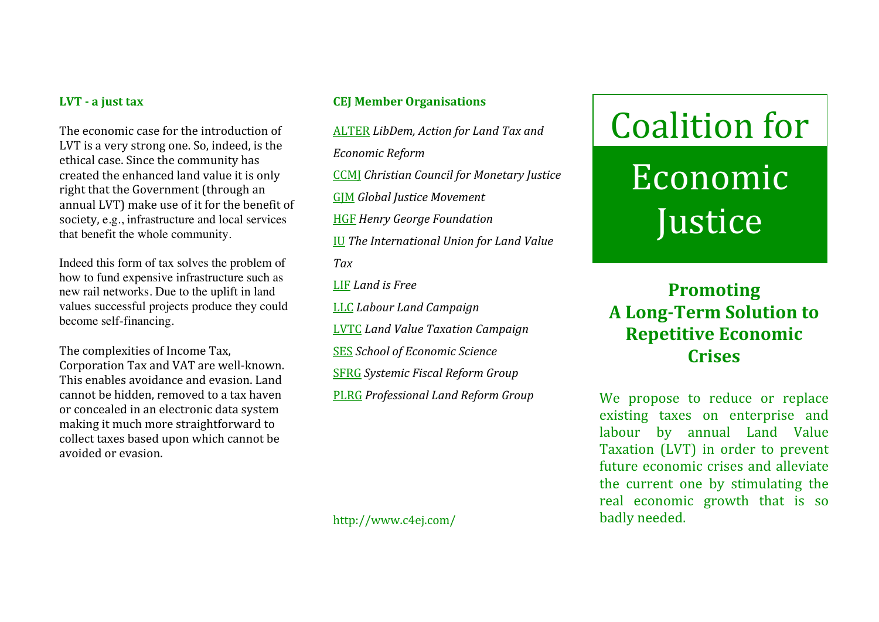#### LVT - a just tax

The
economic
case
for
the
introduction
of LVT
is
a
very
strong
one.
So,
indeed,
is
the ethical
case.
Since
the
community
has created
the
enhanced
land
value
it
is
only right
that
the
Government
(through
an annual
LVT)
make
use
of
it
for
the
benefit
of society, e.g., infrastructure and local services that benefit the whole community.

Indeed this form of tax solves the problem of how to fund expensive infrastructure such as new rail networks. Due to the uplift in land values successful projects produce they could become self-financing.

The
complexities
of
Income
Tax, Corporation
Tax
and
VAT
are
well‐known. This
enables
avoidance
and
evasion.
Land cannot
be
hidden,
removed
to
a
tax
haven or
concealed
in
an
electronic
data
system making
it
much
more
straightforward
to collect
taxes
based
upon
which
cannot
be avoided
or
evasion.

## **CEJ Member Organisations**

ALTER *LibDem, Action for Land Tax and Economic Reform* CCMJ *Christian Council for Monetary Justice* GJM *Global Justice Movement* HGF *Henry George Foundation* IU *The International Union for Land Value Tax* LIF *Land is Free* LLC *Labour Land Campaign* LVTC *Land Value Taxation Campaign* SES *School of Economic Science* SFRG *Systemic Fiscal Reform Group* PLRG *Professional Land Reform Group*

http://www.c4ej.com/

# Coalition
for Economic

**Justice** 

# **Promoting A Long-Term Solution to Repetitive Economic Crises**

We propose to reduce or replace existing
 taxes
 on
 enterprise
 and labour by
 annual
 Land
 Value Taxation
 (LVT) in
 order
 to
 prevent future
economic
crises
and
alleviate the
 current
 one
 by
 stimulating
 the real
 economic
 growth
 that
 is
 so badly
needed.